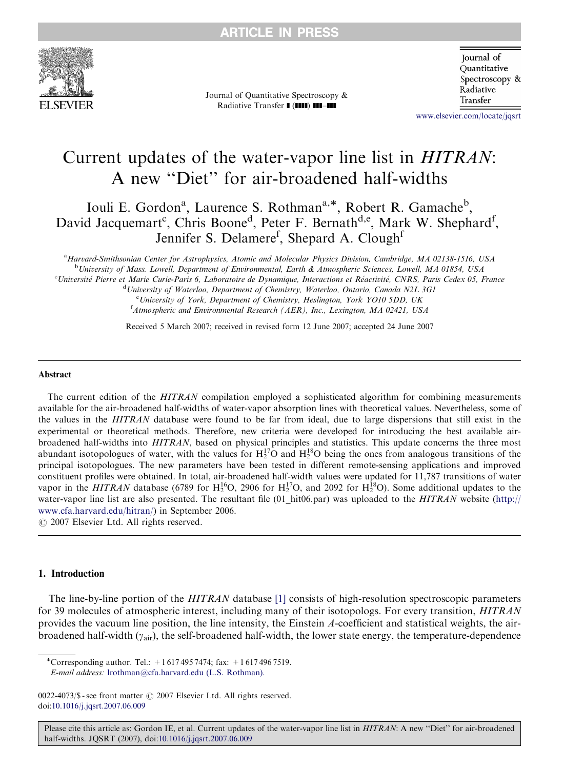

Journal of Quantitative Spectroscopy & Radiative Transfer I (IIII) III-III

**Journal** of Ouantitative Spectroscopy & Radiative Transfer

<www.elsevier.com/locate/jqsrt>

# Current updates of the water-vapor line list in HITRAN: A new ''Diet'' for air-broadened half-widths

Iouli E. Gordon<sup>a</sup>, Laurence S. Rothman<sup>a,\*</sup>, Robert R. Gamache<sup>b</sup>, David Jacquemart<sup>c</sup>, Chris Boone<sup>d</sup>, Peter F. Bernath<sup>d,e</sup>, Mark W. Shephard<sup>f</sup>, Jennifer S. Delamere<sup>f</sup>, Shepard A. Clough<sup>f</sup>

a Harvard-Smithsonian Center for Astrophysics, Atomic and Molecular Physics Division, Cambridge, MA 02138-1516, USA <sup>b</sup>University of Mass. Lowell, Department of Environmental, Earth & Atmospheric Sciences, Lowell, MA 01854, USA <sup>c</sup>Université Pierre et Marie Curie-Paris 6, Laboratoire de Dynamique, Interactions et Réactivité, CNRS, Paris Cedex 05, France <sup>d</sup>University of Waterloo, Department of Chemistry, Waterloo, Ontario, Canada N2L 3G1

<sup>e</sup> University of York, Department of Chemistry, Heslington, York YO10 5DD, UK <sup>f</sup> Atmospheric and Environmental Research (AER), Inc., Lexington, MA 02421, USA

Received 5 March 2007; received in revised form 12 June 2007; accepted 24 June 2007

#### Abstract

The current edition of the HITRAN compilation employed a sophisticated algorithm for combining measurements available for the air-broadened half-widths of water-vapor absorption lines with theoretical values. Nevertheless, some of the values in the HITRAN database were found to be far from ideal, due to large dispersions that still exist in the experimental or theoretical methods. Therefore, new criteria were developed for introducing the best available airbroadened half-widths into HITRAN, based on physical principles and statistics. This update concerns the three most abundant isotopologues of water, with the values for  $H_2^{17}O$  and  $H_2^{18}O$  being the ones from analogous transitions of the principal isotopologues. The new parameters have been tested in different remote-sensing applications and improved constituent profiles were obtained. In total, air-broadened half-width values were updated for 11,787 transitions of water vapor in the *HITRAN* database (6789 for  $H_2^{16}O$ , 2906 for  $H_2^{17}O$ , and 2092 for  $H_2^{18}O$ ). Some additional updates to the water-vapor line list are also presented. The resultant file (01 hit06.par) was uploaded to the HITRAN website ([http://](http://www.cfa.harvard.edu/hitran/) [www.cfa.harvard.edu/hitran/](http://www.cfa.harvard.edu/hitran/)) in September 2006.

 $\odot$  2007 Elsevier Ltd. All rights reserved.

# 1. Introduction

The line-by-line portion of the HITRAN database [\[1\]](#page-11-0) consists of high-resolution spectroscopic parameters for 39 molecules of atmospheric interest, including many of their isotopologs. For every transition, HITRAN provides the vacuum line position, the line intensity, the Einstein A-coefficient and statistical weights, the airbroadened half-width  $(y_{air})$ , the self-broadened half-width, the lower state energy, the temperature-dependence

-Corresponding author. Tel.: +1 617 495 7474; fax: +1 617 496 7519. E-mail address: [lrothman@cfa.harvard.edu \(L.S. Rothman\).](mailto:lrothman@cfa.harvard.edu)

0022-4073/\$ - see front matter  $\odot$  2007 Elsevier Ltd. All rights reserved. doi:[10.1016/j.jqsrt.2007.06.009](dx.doi.org/10.1016/j.jqsrt.2007.06.009)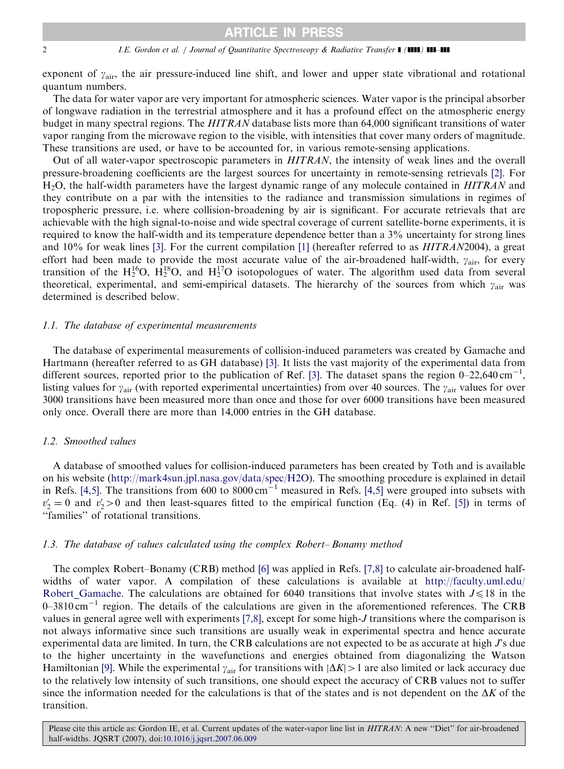#### 2 *I.E. Gordon et al. | Journal of Quantitative Spectroscopy & Radiative Transfer* | (1111) **111-111**

exponent of  $\gamma_{\text{air}}$ , the air pressure-induced line shift, and lower and upper state vibrational and rotational quantum numbers.

The data for water vapor are very important for atmospheric sciences. Water vapor is the principal absorber of longwave radiation in the terrestrial atmosphere and it has a profound effect on the atmospheric energy budget in many spectral regions. The HITRAN database lists more than 64,000 significant transitions of water vapor ranging from the microwave region to the visible, with intensities that cover many orders of magnitude. These transitions are used, or have to be accounted for, in various remote-sensing applications.

Out of all water-vapor spectroscopic parameters in HITRAN, the intensity of weak lines and the overall pressure-broadening coefficients are the largest sources for uncertainty in remote-sensing retrievals [\[2\].](#page-11-0) For H<sub>2</sub>O, the half-width parameters have the largest dynamic range of any molecule contained in *HITRAN* and they contribute on a par with the intensities to the radiance and transmission simulations in regimes of tropospheric pressure, i.e. where collision-broadening by air is significant. For accurate retrievals that are achievable with the high signal-to-noise and wide spectral coverage of current satellite-borne experiments, it is required to know the half-width and its temperature dependence better than a 3% uncertainty for strong lines and 10% for weak lines [\[3\].](#page-11-0) For the current compilation [\[1\]](#page-11-0) (hereafter referred to as HITRAN2004), a great effort had been made to provide the most accurate value of the air-broadened half-width,  $\gamma_{\text{air}}$ , for every transition of the  $H_2^{16}O$ ,  $H_2^{18}O$ , and  $H_2^{17}O$  isotopologues of water. The algorithm used data from several theoretical, experimental, and semi-empirical datasets. The hierarchy of the sources from which  $\gamma_{\text{air}}$  was determined is described below.

# 1.1. The database of experimental measurements

The database of experimental measurements of collision-induced parameters was created by Gamache and Hartmann (hereafter referred to as GH database) [\[3\]](#page-11-0). It lists the vast majority of the experimental data from different sources, reported prior to the publication of Ref. [\[3\].](#page-11-0) The dataset spans the region  $0-22,640 \text{ cm}^{-1}$ , listing values for  $\gamma_{\text{air}}$  (with reported experimental uncertainties) from over 40 sources. The  $\gamma_{\text{air}}$  values for over 3000 transitions have been measured more than once and those for over 6000 transitions have been measured only once. Overall there are more than 14,000 entries in the GH database.

# 1.2. Smoothed values

A database of smoothed values for collision-induced parameters has been created by Toth and is available on his website [\(http://mark4sun.jpl.nasa.gov/data/spec/H2O](http://mark4sun.jpl.nasa.gov/data/spec/H2O)). The smoothing procedure is explained in detail in Refs. [\[4,5\].](#page-11-0) The transitions from 600 to 8000 cm<sup>-1</sup> measured in Refs. [\[4,5\]](#page-11-0) were grouped into subsets with  $v'_2 = 0$  and  $v'_2 > 0$  and then least-squares fitted to the empirical function (Eq. (4) in Ref. [\[5\]\)](#page-11-0) in terms of ''families'' of rotational transitions.

#### 1.3. The database of values calculated using the complex Robert– Bonamy method

The complex Robert–Bonamy (CRB) method [\[6\]](#page-11-0) was applied in Refs. [\[7,8\]](#page-12-0) to calculate air-broadened halfwidths of water vapor. A compilation of these calculations is available at [http://faculty.uml.edu/](http://faculty.uml.edu/Robert_Gamache) Robert Gamache. The calculations are obtained for 6040 transitions that involve states with  $J \leq 18$  in the  $0-3810 \text{ cm}^{-1}$  region. The details of the calculations are given in the aforementioned references. The CRB values in general agree well with experiments [\[7,8\]](#page-12-0), except for some high-J transitions where the comparison is not always informative since such transitions are usually weak in experimental spectra and hence accurate experimental data are limited. In turn, the CRB calculations are not expected to be as accurate at high  $\Gamma$ s due to the higher uncertainty in the wavefunctions and energies obtained from diagonalizing the Watson Hamiltonian [\[9\].](#page-12-0) While the experimental  $\gamma_{\text{air}}$  for transitions with  $|\Delta K| > 1$  are also limited or lack accuracy due to the relatively low intensity of such transitions, one should expect the accuracy of CRB values not to suffer since the information needed for the calculations is that of the states and is not dependent on the  $\Delta K$  of the transition.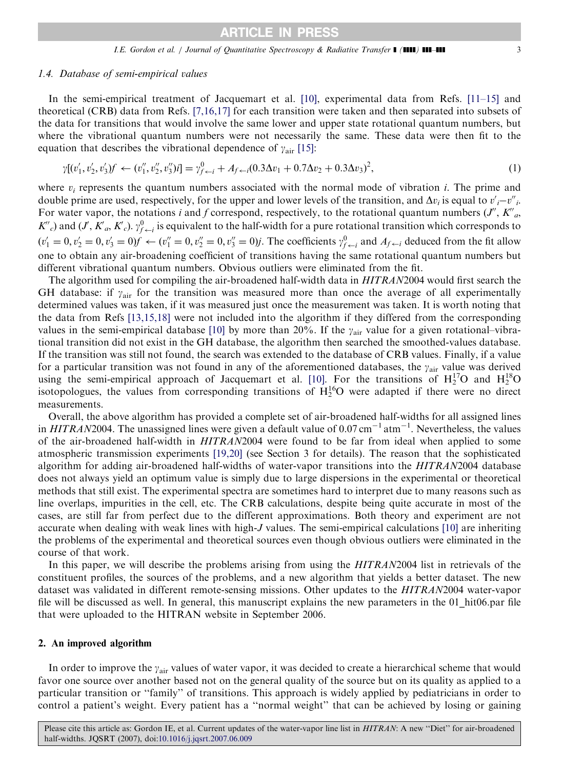#### 1.4. Database of semi-empirical values

In the semi-empirical treatment of Jacquemart et al. [\[10\]](#page-12-0), experimental data from Refs. [\[11–15\]](#page-12-0) and theoretical (CRB) data from Refs. [\[7,16,17\]](#page-12-0) for each transition were taken and then separated into subsets of the data for transitions that would involve the same lower and upper state rotational quantum numbers, but where the vibrational quantum numbers were not necessarily the same. These data were then fit to the equation that describes the vibrational dependence of  $\gamma_{\text{air}}$  [\[15\]](#page-12-0):

$$
\gamma[(v'_1, v'_2, v'_3)f \leftarrow (v''_1, v''_2, v''_3)i] = \gamma_{f \leftarrow i}^0 + A_{f \leftarrow i}(0.3\Delta v_1 + 0.7\Delta v_2 + 0.3\Delta v_3)^2,\tag{1}
$$

where  $v_i$  represents the quantum numbers associated with the normal mode of vibration i. The prime and double prime are used, respectively, for the upper and lower levels of the transition, and  $\Delta v_i$  is equal to  $v'_i - v''_i$ . For water vapor, the notations i and f correspond, respectively, to the rotational quantum numbers  $(J'', K'',_{a''})$  $K''_c$ ) and  $(J, K'_a, K'_c)$ .  $\gamma^0_{f \leftarrow i}$  is equivalent to the half-width for a pure rotational transition which corresponds to  $(v'_1 = 0, v'_2 = 0, v'_3 = 0) f \leftarrow (v''_1 = 0, v''_2 = 0, v''_3 = 0) j$ . The coefficients  $\gamma^0_{f \leftarrow i}$  and  $A_{f \leftarrow i}$  deduced from the fit allow one to obtain any air-broadening coefficient of transitions having the same rotational quantum numbers but different vibrational quantum numbers. Obvious outliers were eliminated from the fit.

The algorithm used for compiling the air-broadened half-width data in HITRAN2004 would first search the GH database: if  $\gamma_{\text{air}}$  for the transition was measured more than once the average of all experimentally determined values was taken, if it was measured just once the measurement was taken. It is worth noting that the data from Refs [\[13,15,18\]](#page-12-0) were not included into the algorithm if they differed from the corresponding values in the semi-empirical database [\[10\]](#page-12-0) by more than 20%. If the  $\gamma_{\text{air}}$  value for a given rotational–vibrational transition did not exist in the GH database, the algorithm then searched the smoothed-values database. If the transition was still not found, the search was extended to the database of CRB values. Finally, if a value for a particular transition was not found in any of the aforementioned databases, the  $\gamma_{\text{air}}$  value was derived using the semi-empirical approach of Jacquemart et al. [\[10\]](#page-12-0). For the transitions of  $H_2^{17}O$  and  $H_2^{18}O$ isotopologues, the values from corresponding transitions of  $H_2^{16}O$  were adapted if there were no direct measurements.

Overall, the above algorithm has provided a complete set of air-broadened half-widths for all assigned lines in  $HITRAN2004$ . The unassigned lines were given a default value of 0.07 cm<sup>-1</sup> atm<sup>-1</sup>. Nevertheless, the values of the air-broadened half-width in HITRAN2004 were found to be far from ideal when applied to some atmospheric transmission experiments [\[19,20\]](#page-12-0) (see Section 3 for details). The reason that the sophisticated algorithm for adding air-broadened half-widths of water-vapor transitions into the HITRAN2004 database does not always yield an optimum value is simply due to large dispersions in the experimental or theoretical methods that still exist. The experimental spectra are sometimes hard to interpret due to many reasons such as line overlaps, impurities in the cell, etc. The CRB calculations, despite being quite accurate in most of the cases, are still far from perfect due to the different approximations. Both theory and experiment are not accurate when dealing with weak lines with high-J values. The semi-empirical calculations [\[10\]](#page-12-0) are inheriting the problems of the experimental and theoretical sources even though obvious outliers were eliminated in the course of that work.

In this paper, we will describe the problems arising from using the *HITRAN*2004 list in retrievals of the constituent profiles, the sources of the problems, and a new algorithm that yields a better dataset. The new dataset was validated in different remote-sensing missions. Other updates to the HITRAN2004 water-vapor file will be discussed as well. In general, this manuscript explains the new parameters in the 01\_hit06.par file that were uploaded to the HITRAN website in September 2006.

#### 2. An improved algorithm

In order to improve the  $\gamma_{\rm air}$  values of water vapor, it was decided to create a hierarchical scheme that would favor one source over another based not on the general quality of the source but on its quality as applied to a particular transition or ''family'' of transitions. This approach is widely applied by pediatricians in order to control a patient's weight. Every patient has a ''normal weight'' that can be achieved by losing or gaining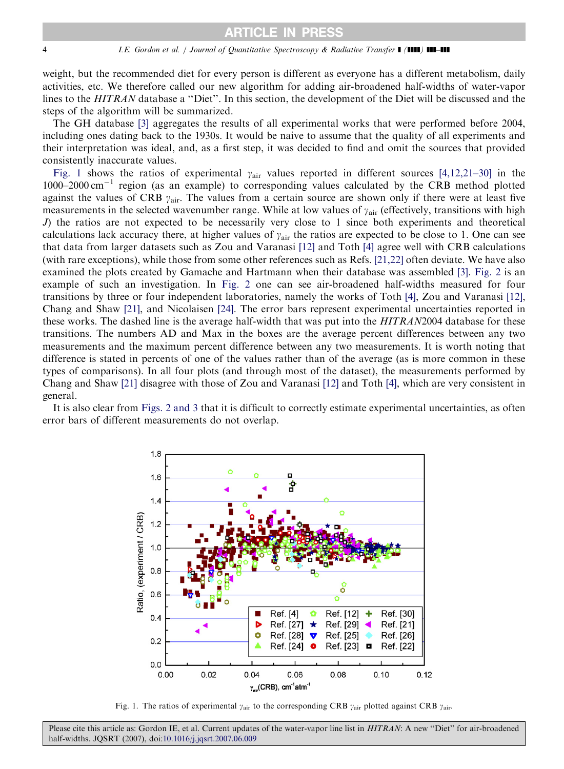#### <span id="page-3-0"></span>4 I.E. Gordon et al. / Journal of Quantitative Spectroscopy & Radiative Transfer  $\blacksquare$  ( $\blacksquare$ )  $\blacksquare$

weight, but the recommended diet for every person is different as everyone has a different metabolism, daily activities, etc. We therefore called our new algorithm for adding air-broadened half-widths of water-vapor lines to the HITRAN database a "Diet". In this section, the development of the Diet will be discussed and the steps of the algorithm will be summarized.

The GH database [\[3\]](#page-11-0) aggregates the results of all experimental works that were performed before 2004, including ones dating back to the 1930s. It would be naive to assume that the quality of all experiments and their interpretation was ideal, and, as a first step, it was decided to find and omit the sources that provided consistently inaccurate values.

Fig. 1 shows the ratios of experimental  $\gamma_{\text{air}}$  values reported in different sources [\[4,12,21–30\]](#page-11-0) in the 1000–2000 cm<sup>-1</sup> region (as an example) to corresponding values calculated by the CRB method plotted against the values of CRB  $\gamma_{\text{air}}$ . The values from a certain source are shown only if there were at least five measurements in the selected wavenumber range. While at low values of  $\gamma_{air}$  (effectively, transitions with high J) the ratios are not expected to be necessarily very close to 1 since both experiments and theoretical calculations lack accuracy there, at higher values of  $y_{air}$  the ratios are expected to be close to 1. One can see that data from larger datasets such as Zou and Varanasi [\[12\]](#page-12-0) and Toth [\[4\]](#page-11-0) agree well with CRB calculations (with rare exceptions), while those from some other references such as Refs. [\[21,22\]](#page-12-0) often deviate. We have also examined the plots created by Gamache and Hartmann when their database was assembled [\[3\]](#page-11-0). [Fig. 2](#page-4-0) is an example of such an investigation. In [Fig. 2](#page-4-0) one can see air-broadened half-widths measured for four transitions by three or four independent laboratories, namely the works of Toth [\[4\],](#page-11-0) Zou and Varanasi [\[12\],](#page-12-0) Chang and Shaw [\[21\]](#page-12-0), and Nicolaisen [\[24\].](#page-12-0) The error bars represent experimental uncertainties reported in these works. The dashed line is the average half-width that was put into the HITRAN2004 database for these transitions. The numbers AD and Max in the boxes are the average percent differences between any two measurements and the maximum percent difference between any two measurements. It is worth noting that difference is stated in percents of one of the values rather than of the average (as is more common in these types of comparisons). In all four plots (and through most of the dataset), the measurements performed by Chang and Shaw [\[21\]](#page-12-0) disagree with those of Zou and Varanasi [\[12\]](#page-12-0) and Toth [\[4\]](#page-11-0), which are very consistent in general.

It is also clear from [Figs. 2 and 3](#page-4-0) that it is difficult to correctly estimate experimental uncertainties, as often error bars of different measurements do not overlap.



Fig. 1. The ratios of experimental  $\gamma_{\text{air}}$  to the corresponding CRB  $\gamma_{\text{air}}$  plotted against CRB  $\gamma_{\text{air}}$ .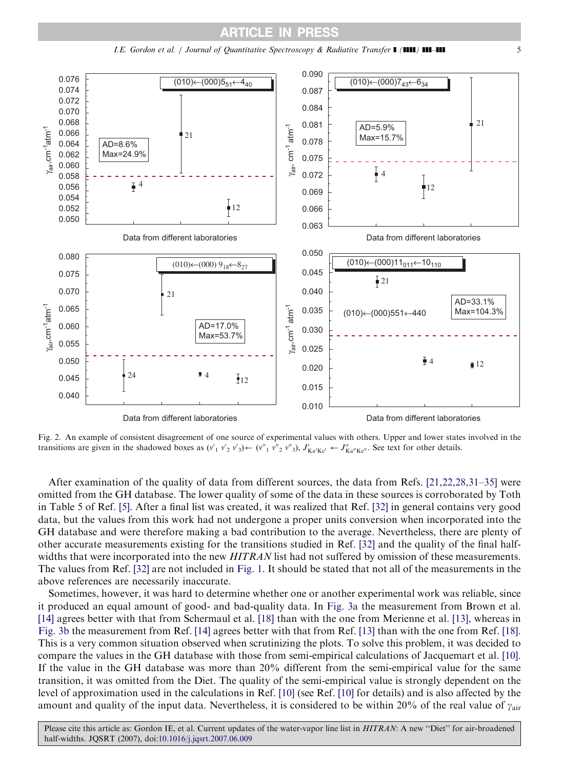<span id="page-4-0"></span>

I.E. Gordon et al. / Journal of Quantitative Spectroscopy & Radiative Transfer ] (]]]]) ]]]–]]] 5

Fig. 2. An example of consistent disagreement of one source of experimental values with others. Upper and lower states involved in the transitions are given in the shadowed boxes as  $(v'_1, v'_2, v'_3) \leftarrow (v''_1, v''_2, v''_3)$ ,  $J'_{Ka'Kc'} \leftarrow J''_{Ka''Kc''}$ . See text for other details.

After examination of the quality of data from different sources, the data from Refs. [\[21,22,28,31–35\]](#page-12-0) were omitted from the GH database. The lower quality of some of the data in these sources is corroborated by Toth in Table 5 of Ref. [\[5\]](#page-11-0). After a final list was created, it was realized that Ref. [\[32\]](#page-12-0) in general contains very good data, but the values from this work had not undergone a proper units conversion when incorporated into the GH database and were therefore making a bad contribution to the average. Nevertheless, there are plenty of other accurate measurements existing for the transitions studied in Ref. [\[32\]](#page-12-0) and the quality of the final halfwidths that were incorporated into the new HITRAN list had not suffered by omission of these measurements. The values from Ref. [\[32\]](#page-12-0) are not included in [Fig. 1](#page-3-0). It should be stated that not all of the measurements in the above references are necessarily inaccurate.

Sometimes, however, it was hard to determine whether one or another experimental work was reliable, since it produced an equal amount of good- and bad-quality data. In [Fig. 3a](#page-5-0) the measurement from Brown et al. [\[14\]](#page-12-0) agrees better with that from Schermaul et al. [\[18\]](#page-12-0) than with the one from Merienne et al. [\[13\]](#page-12-0), whereas in [Fig. 3b](#page-5-0) the measurement from Ref. [\[14\]](#page-12-0) agrees better with that from Ref. [\[13\]](#page-12-0) than with the one from Ref. [\[18\]](#page-12-0). This is a very common situation observed when scrutinizing the plots. To solve this problem, it was decided to compare the values in the GH database with those from semi-empirical calculations of Jacquemart et al. [\[10\]](#page-12-0). If the value in the GH database was more than 20% different from the semi-empirical value for the same transition, it was omitted from the Diet. The quality of the semi-empirical value is strongly dependent on the level of approximation used in the calculations in Ref. [\[10\]](#page-12-0) (see Ref. [\[10\]](#page-12-0) for details) and is also affected by the amount and quality of the input data. Nevertheless, it is considered to be within 20% of the real value of  $y_{\text{air}}$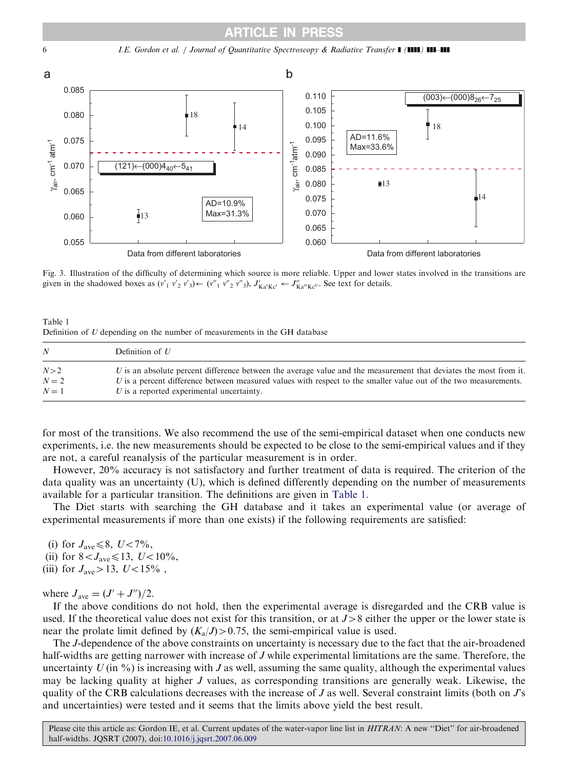# ARTICLE IN PRESS

<span id="page-5-0"></span>



Fig. 3. Illustration of the difficulty of determining which source is more reliable. Upper and lower states involved in the transitions are given in the shadowed boxes as  $(v'_1 v'_2 v'_3) \leftarrow (v''_1 v''_2 v''_3)$ ,  $J'_{Ka'Kc'} \leftarrow J''_{Ka''Kc''}$ . See text for details.

Table 1 Definition of U depending on the number of measurements in the GH database

| N            | Definition of $U$                                                                                                                                                                                                                     |
|--------------|---------------------------------------------------------------------------------------------------------------------------------------------------------------------------------------------------------------------------------------|
| N>2<br>$N=2$ | U is an absolute percent difference between the average value and the measurement that deviates the most from it.<br>U is a percent difference between measured values with respect to the smaller value out of the two measurements. |
| $N=1$        | $U$ is a reported experimental uncertainty.                                                                                                                                                                                           |

for most of the transitions. We also recommend the use of the semi-empirical dataset when one conducts new experiments, i.e. the new measurements should be expected to be close to the semi-empirical values and if they are not, a careful reanalysis of the particular measurement is in order.

However, 20% accuracy is not satisfactory and further treatment of data is required. The criterion of the data quality was an uncertainty (U), which is defined differently depending on the number of measurements available for a particular transition. The definitions are given in Table 1.

The Diet starts with searching the GH database and it takes an experimental value (or average of experimental measurements if more than one exists) if the following requirements are satisfied:

(i) for  $J_{\text{ave}} \leq 8$ ,  $U < 7\%$ ,

- (ii) for  $8 < J_{\text{ave}} \le 13$ ,  $U < 10\%$ ,
- (iii) for  $J_{\text{ave}} > 13$ ,  $U < 15\%$ ,

where  $J_{\text{ave}} = (J' + J'')/2$ .

If the above conditions do not hold, then the experimental average is disregarded and the CRB value is used. If the theoretical value does not exist for this transition, or at  $J > 8$  either the upper or the lower state is near the prolate limit defined by  $(K_a/J) > 0.75$ , the semi-empirical value is used.

The J-dependence of the above constraints on uncertainty is necessary due to the fact that the air-broadened half-widths are getting narrower with increase of J while experimental limitations are the same. Therefore, the uncertainty  $U$  (in %) is increasing with J as well, assuming the same quality, although the experimental values may be lacking quality at higher J values, as corresponding transitions are generally weak. Likewise, the quality of the CRB calculations decreases with the increase of  $J$  as well. Several constraint limits (both on  $J$ 's and uncertainties) were tested and it seems that the limits above yield the best result.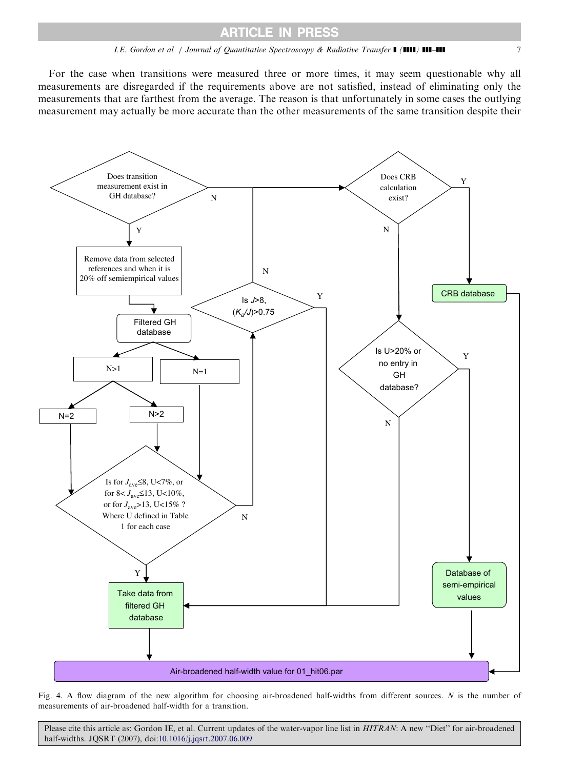# I.E. Gordon et al. / Journal of Quantitative Spectroscopy & Radiative Transfer **1 (1111) 111-111** 7

<span id="page-6-0"></span>For the case when transitions were measured three or more times, it may seem questionable why all measurements are disregarded if the requirements above are not satisfied, instead of eliminating only the measurements that are farthest from the average. The reason is that unfortunately in some cases the outlying measurement may actually be more accurate than the other measurements of the same transition despite their



Fig. 4. A flow diagram of the new algorithm for choosing air-broadened half-widths from different sources. N is the number of measurements of air-broadened half-width for a transition.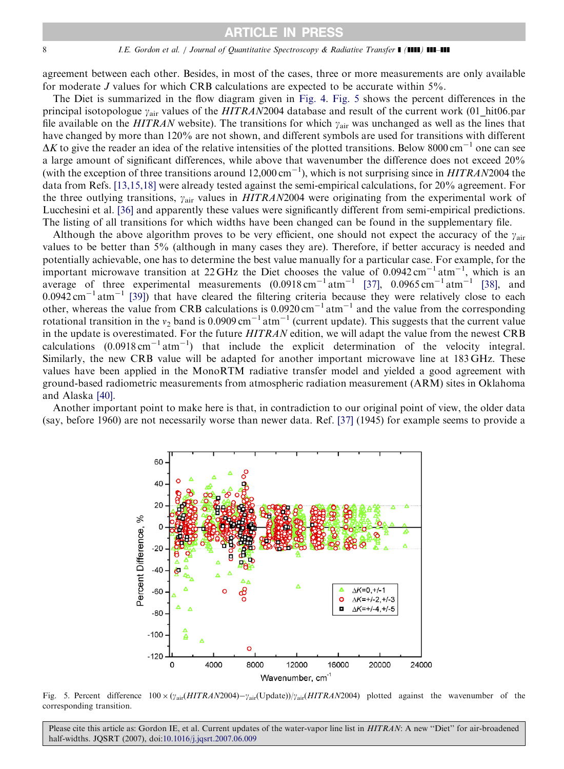#### 8 I.E. Gordon et al. / Journal of Quantitative Spectroscopy & Radiative Transfer  $\blacksquare$  ( $\blacksquare$ )  $\blacksquare$

agreement between each other. Besides, in most of the cases, three or more measurements are only available for moderate J values for which CRB calculations are expected to be accurate within 5%.

The Diet is summarized in the flow diagram given in [Fig. 4](#page-6-0). Fig. 5 shows the percent differences in the principal isotopologue  $\gamma_{\text{air}}$  values of the HITRAN2004 database and result of the current work (01\_hit06.par file available on the HITRAN website). The transitions for which  $y_{\text{air}}$  was unchanged as well as the lines that have changed by more than 120% are not shown, and different symbols are used for transitions with different  $\Delta K$  to give the reader an idea of the relative intensities of the plotted transitions. Below 8000 cm<sup>-1</sup> one can see a large amount of significant differences, while above that wavenumber the difference does not exceed 20% (with the exception of three transitions around  $12,000 \text{ cm}^{-1}$ ), which is not surprising since in  $HITRAN2004$  the data from Refs. [\[13,15,18\]](#page-12-0) were already tested against the semi-empirical calculations, for 20% agreement. For the three outlying transitions,  $y_{air}$  values in  $HITRAN2004$  were originating from the experimental work of Lucchesini et al. [\[36\]](#page-12-0) and apparently these values were significantly different from semi-empirical predictions. The listing of all transitions for which widths have been changed can be found in the supplementary file.

Although the above algorithm proves to be very efficient, one should not expect the accuracy of the  $y_{\text{air}}$ values to be better than 5% (although in many cases they are). Therefore, if better accuracy is needed and potentially achievable, one has to determine the best value manually for a particular case. For example, for the important microwave transition at 22 GHz the Diet chooses the value of  $0.0942 \text{ cm}^{-1} \text{ atm}^{-1}$ , which is an average of three experimental measurements  $(0.0918 \text{ cm}^{-1} \text{ atm}^{-1}$  [\[37\],](#page-12-0)  $0.0965 \text{ cm}^{-1} \text{ atm}^{-1}$  [\[38\]](#page-12-0), and  $0.0942 \text{ cm}^{-1}$  atm<sup>-1</sup> [\[39\]\)](#page-12-0) that have cleared the filtering criteria because they were relatively close to each other, whereas the value from CRB calculations is  $0.0920 \text{ cm}^{-1} \text{ atm}^{-1}$  and the value from the corresponding rotational transition in the  $v_2$  band is 0.0909 cm<sup>-1</sup> atm<sup>-1</sup> (current update). This suggests that the current value in the update is overestimated. For the future HITRAN edition, we will adapt the value from the newest CRB calculations  $(0.0918 \text{ cm}^{-1} \text{ atm}^{-1})$  that include the explicit determination of the velocity integral. Similarly, the new CRB value will be adapted for another important microwave line at 183 GHz. These values have been applied in the MonoRTM radiative transfer model and yielded a good agreement with ground-based radiometric measurements from atmospheric radiation measurement (ARM) sites in Oklahoma and Alaska [\[40\].](#page-12-0)

Another important point to make here is that, in contradiction to our original point of view, the older data (say, before 1960) are not necessarily worse than newer data. Ref. [\[37\]](#page-12-0) (1945) for example seems to provide a



Fig. 5. Percent difference  $100 \times (\gamma_{air}(HITRAN2004) - \gamma_{air}(Update))/\gamma_{air}(HITRAN2004))$  plotted against the wavenumber of the corresponding transition.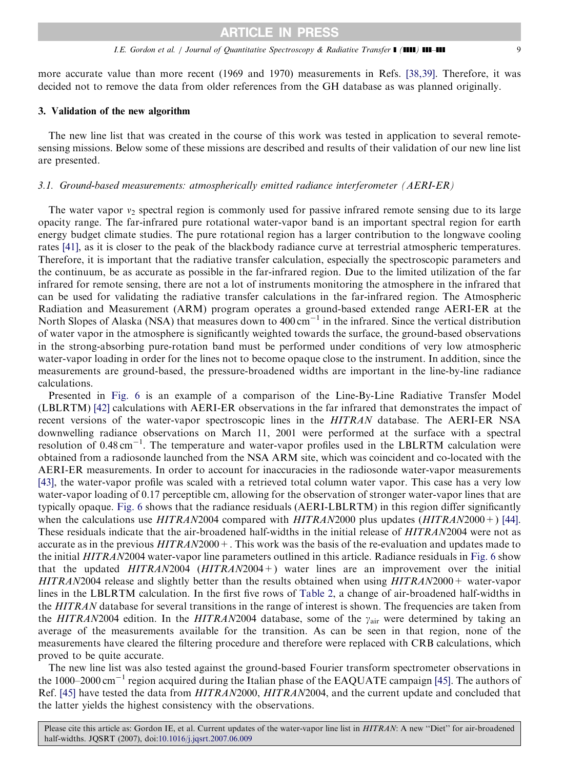more accurate value than more recent (1969 and 1970) measurements in Refs. [\[38,39\]](#page-12-0). Therefore, it was decided not to remove the data from older references from the GH database as was planned originally.

# 3. Validation of the new algorithm

The new line list that was created in the course of this work was tested in application to several remotesensing missions. Below some of these missions are described and results of their validation of our new line list are presented.

# 3.1. Ground-based measurements: atmospherically emitted radiance interferometer (AERI-ER)

The water vapor  $v_2$  spectral region is commonly used for passive infrared remote sensing due to its large opacity range. The far-infrared pure rotational water-vapor band is an important spectral region for earth energy budget climate studies. The pure rotational region has a larger contribution to the longwave cooling rates [\[41\],](#page-13-0) as it is closer to the peak of the blackbody radiance curve at terrestrial atmospheric temperatures. Therefore, it is important that the radiative transfer calculation, especially the spectroscopic parameters and the continuum, be as accurate as possible in the far-infrared region. Due to the limited utilization of the far infrared for remote sensing, there are not a lot of instruments monitoring the atmosphere in the infrared that can be used for validating the radiative transfer calculations in the far-infrared region. The Atmospheric Radiation and Measurement (ARM) program operates a ground-based extended range AERI-ER at the North Slopes of Alaska (NSA) that measures down to 400 cm<sup>-1</sup> in the infrared. Since the vertical distribution of water vapor in the atmosphere is significantly weighted towards the surface, the ground-based observations in the strong-absorbing pure-rotation band must be performed under conditions of very low atmospheric water-vapor loading in order for the lines not to become opaque close to the instrument. In addition, since the measurements are ground-based, the pressure-broadened widths are important in the line-by-line radiance calculations.

Presented in [Fig. 6](#page-9-0) is an example of a comparison of the Line-By-Line Radiative Transfer Model (LBLRTM) [\[42\]](#page-13-0) calculations with AERI-ER observations in the far infrared that demonstrates the impact of recent versions of the water-vapor spectroscopic lines in the HITRAN database. The AERI-ER NSA downwelling radiance observations on March 11, 2001 were performed at the surface with a spectral resolution of 0.48 cm<sup>-1</sup>. The temperature and water-vapor profiles used in the LBLRTM calculation were obtained from a radiosonde launched from the NSA ARM site, which was coincident and co-located with the AERI-ER measurements. In order to account for inaccuracies in the radiosonde water-vapor measurements [\[43\]](#page-13-0), the water-vapor profile was scaled with a retrieved total column water vapor. This case has a very low water-vapor loading of 0.17 perceptible cm, allowing for the observation of stronger water-vapor lines that are typically opaque. [Fig. 6](#page-9-0) shows that the radiance residuals (AERI-LBLRTM) in this region differ significantly when the calculations use  $HITRAN2004$  compared with  $HITRAN2000$  plus updates  $(HITRAN2000+)$  [\[44\]](#page-13-0). These residuals indicate that the air-broadened half-widths in the initial release of HITRAN2004 were not as accurate as in the previous  $HITRAN2000+$ . This work was the basis of the re-evaluation and updates made to the initial HITRAN2004 water-vapor line parameters outlined in this article. Radiance residuals in [Fig. 6](#page-9-0) show that the updated  $HITRAN2004$  ( $HITRAN2004$ ) water lines are an improvement over the initial HITRAN2004 release and slightly better than the results obtained when using HITRAN2000+ water-vapor lines in the LBLRTM calculation. In the first five rows of [Table 2,](#page-9-0) a change of air-broadened half-widths in the HITRAN database for several transitions in the range of interest is shown. The frequencies are taken from the HITRAN2004 edition. In the HITRAN2004 database, some of the  $\gamma_{\text{air}}$  were determined by taking an average of the measurements available for the transition. As can be seen in that region, none of the measurements have cleared the filtering procedure and therefore were replaced with CRB calculations, which proved to be quite accurate.

The new line list was also tested against the ground-based Fourier transform spectrometer observations in the 1000–2000 cm<sup>-1</sup> region acquired during the Italian phase of the EAQUATE campaign [\[45\]](#page-13-0). The authors of Ref. [\[45\]](#page-13-0) have tested the data from HITRAN2000, HITRAN2004, and the current update and concluded that the latter yields the highest consistency with the observations.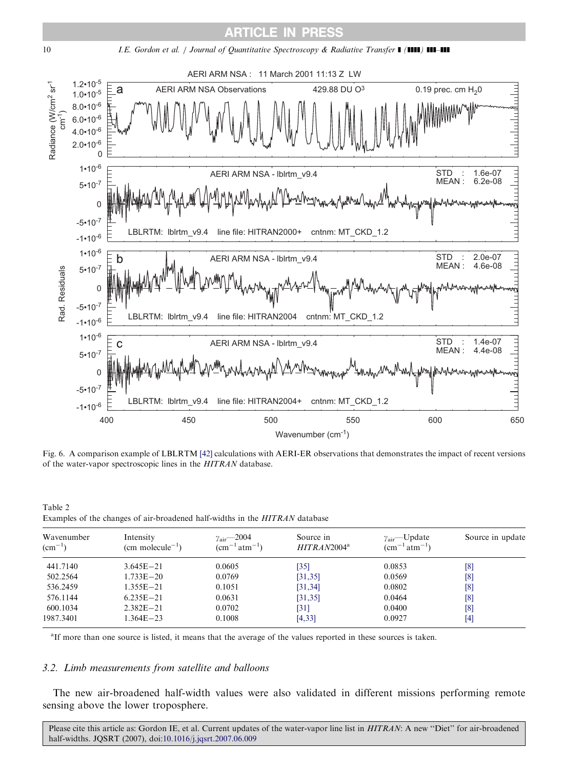<span id="page-9-0"></span>



Fig. 6. A comparison example of LBLRTM [\[42\]](#page-13-0) calculations with AERI-ER observations that demonstrates the impact of recent versions of the water-vapor spectroscopic lines in the HITRAN database.

| Table 2 |                                                                                    |  |  |  |
|---------|------------------------------------------------------------------------------------|--|--|--|
|         | Examples of the changes of air-broadened half-widths in the <i>HITRAN</i> database |  |  |  |

| Wavenumber<br>$\rm (cm^{-1})$ | Intensity<br>$(cm  molecule-1)$ | $\gamma_{\text{air}}$ - 2004<br>$\rm (cm^{-1}\,atm^{-1})$ | Source in<br>$HITRAN2004^a$ | $\gamma_{\text{air}}$ —Update<br>$\rm (cm^{-1}\,atm^{-1})$ | Source in update |
|-------------------------------|---------------------------------|-----------------------------------------------------------|-----------------------------|------------------------------------------------------------|------------------|
| 441.7140                      | $3.645E - 21$                   | 0.0605                                                    | $[35]$                      | 0.0853                                                     | $^{[8]}$         |
| 502.2564                      | $1.733E - 20$                   | 0.0769                                                    | [31, 35]                    | 0.0569                                                     | [8]              |
| 536.2459                      | $1.355E - 21$                   | 0.1051                                                    | [31, 34]                    | 0.0802                                                     | $^{[8]}$         |
| 576.1144                      | $6.235E - 21$                   | 0.0631                                                    | [31, 35]                    | 0.0464                                                     | $^{[8]}$         |
| 600.1034                      | $2.382E - 21$                   | 0.0702                                                    | [31]                        | 0.0400                                                     | $^{[8]}$         |
| 1987.3401                     | $1.364E - 23$                   | 0.1008                                                    | [4, 33]                     | 0.0927                                                     | [4]              |

<sup>a</sup>If more than one source is listed, it means that the average of the values reported in these sources is taken.

#### 3.2. Limb measurements from satellite and balloons

The new air-broadened half-width values were also validated in different missions performing remote sensing above the lower troposphere.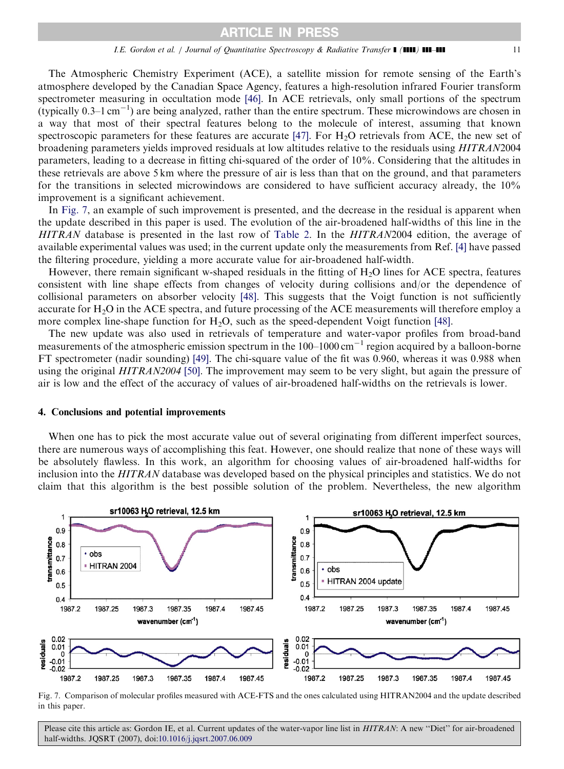The Atmospheric Chemistry Experiment (ACE), a satellite mission for remote sensing of the Earth's atmosphere developed by the Canadian Space Agency, features a high-resolution infrared Fourier transform spectrometer measuring in occultation mode [\[46\].](#page-13-0) In ACE retrievals, only small portions of the spectrum (typically  $0.3-1 \text{ cm}^{-1}$ ) are being analyzed, rather than the entire spectrum. These microwindows are chosen in a way that most of their spectral features belong to the molecule of interest, assuming that known spectroscopic parameters for these features are accurate [\[47\]](#page-13-0). For  $H<sub>2</sub>O$  retrievals from ACE, the new set of broadening parameters yields improved residuals at low altitudes relative to the residuals using HITRAN2004 parameters, leading to a decrease in fitting chi-squared of the order of 10%. Considering that the altitudes in these retrievals are above 5 km where the pressure of air is less than that on the ground, and that parameters for the transitions in selected microwindows are considered to have sufficient accuracy already, the 10% improvement is a significant achievement.

In Fig. 7, an example of such improvement is presented, and the decrease in the residual is apparent when the update described in this paper is used. The evolution of the air-broadened half-widths of this line in the HITRAN database is presented in the last row of [Table 2](#page-9-0). In the HITRAN2004 edition, the average of available experimental values was used; in the current update only the measurements from Ref. [\[4\]](#page-11-0) have passed the filtering procedure, yielding a more accurate value for air-broadened half-width.

However, there remain significant w-shaped residuals in the fitting of H<sub>2</sub>O lines for ACE spectra, features consistent with line shape effects from changes of velocity during collisions and/or the dependence of collisional parameters on absorber velocity [\[48\].](#page-13-0) This suggests that the Voigt function is not sufficiently accurate for H<sub>2</sub>O in the ACE spectra, and future processing of the ACE measurements will therefore employ a more complex line-shape function for H2O, such as the speed-dependent Voigt function [\[48\]](#page-13-0).

The new update was also used in retrievals of temperature and water-vapor profiles from broad-band measurements of the atmospheric emission spectrum in the  $100-1000 \text{ cm}^{-1}$  region acquired by a balloon-borne FT spectrometer (nadir sounding) [\[49\].](#page-13-0) The chi-square value of the fit was 0.960, whereas it was 0.988 when using the original HITRAN2004 [\[50\]](#page-13-0). The improvement may seem to be very slight, but again the pressure of air is low and the effect of the accuracy of values of air-broadened half-widths on the retrievals is lower.

#### 4. Conclusions and potential improvements

When one has to pick the most accurate value out of several originating from different imperfect sources, there are numerous ways of accomplishing this feat. However, one should realize that none of these ways will be absolutely flawless. In this work, an algorithm for choosing values of air-broadened half-widths for inclusion into the HITRAN database was developed based on the physical principles and statistics. We do not claim that this algorithm is the best possible solution of the problem. Nevertheless, the new algorithm



Fig. 7. Comparison of molecular profiles measured with ACE-FTS and the ones calculated using HITRAN2004 and the update described in this paper.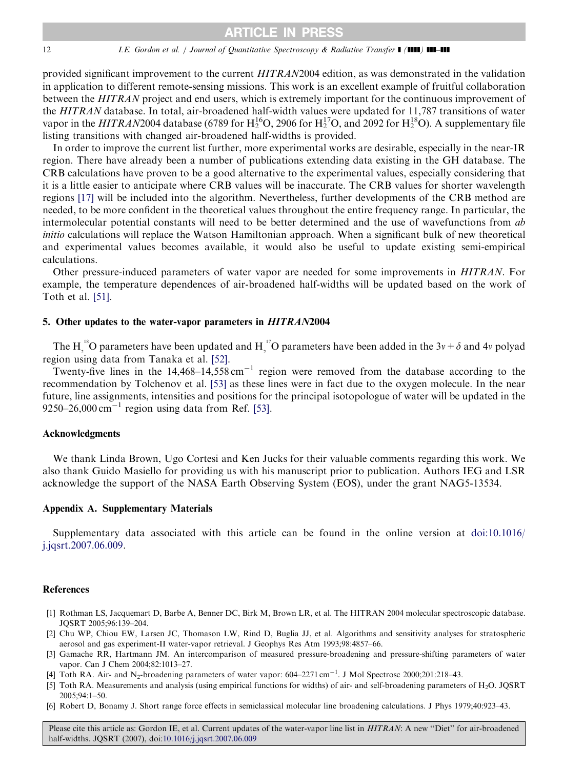#### <span id="page-11-0"></span>12 *I.E. Gordon et al. | Journal of Quantitative Spectroscopy & Radiative Transfer* | (1111) **111-111**

provided significant improvement to the current HITRAN2004 edition, as was demonstrated in the validation in application to different remote-sensing missions. This work is an excellent example of fruitful collaboration between the HITRAN project and end users, which is extremely important for the continuous improvement of the HITRAN database. In total, air-broadened half-width values were updated for 11,787 transitions of water vapor in the HITRAN2004 database (6789 for  $H_2^{16}O$ , 2906 for  $H_2^{17}O$ , and 2092 for  $H_2^{18}O$ ). A supplementary file listing transitions with changed air-broadened half-widths is provided.

In order to improve the current list further, more experimental works are desirable, especially in the near-IR region. There have already been a number of publications extending data existing in the GH database. The CRB calculations have proven to be a good alternative to the experimental values, especially considering that it is a little easier to anticipate where CRB values will be inaccurate. The CRB values for shorter wavelength regions [\[17\]](#page-12-0) will be included into the algorithm. Nevertheless, further developments of the CRB method are needed, to be more confident in the theoretical values throughout the entire frequency range. In particular, the intermolecular potential constants will need to be better determined and the use of wavefunctions from ab initio calculations will replace the Watson Hamiltonian approach. When a significant bulk of new theoretical and experimental values becomes available, it would also be useful to update existing semi-empirical calculations.

Other pressure-induced parameters of water vapor are needed for some improvements in HITRAN. For example, the temperature dependences of air-broadened half-widths will be updated based on the work of Toth et al. [\[51\].](#page-13-0)

# 5. Other updates to the water-vapor parameters in HITRAN2004

The H<sub>2</sub><sup>18</sup>O parameters have been updated and H<sub>2</sub><sup>17</sup>O parameters have been added in the 3v +  $\delta$  and 4v polyad region using data from Tanaka et al. [\[52\].](#page-13-0)

Twenty-five lines in the  $14,468-14,558$  cm<sup>-1</sup> region were removed from the database according to the recommendation by Tolchenov et al. [\[53\]](#page-13-0) as these lines were in fact due to the oxygen molecule. In the near future, line assignments, intensities and positions for the principal isotopologue of water will be updated in the 9250–26,000  $\text{cm}^{-1}$  region using data from Ref. [\[53\]](#page-13-0).

## Acknowledgments

We thank Linda Brown, Ugo Cortesi and Ken Jucks for their valuable comments regarding this work. We also thank Guido Masiello for providing us with his manuscript prior to publication. Authors IEG and LSR acknowledge the support of the NASA Earth Observing System (EOS), under the grant NAG5-13534.

#### Appendix A. Supplementary Materials

Supplementary data associated with this article can be found in the online version at [doi:10.1016/](dx.doi.org/10.1016/j.jqsrt.2007.06.009) [j.jqsrt.2007.06.009.](dx.doi.org/10.1016/j.jqsrt.2007.06.009)

#### **References**

- [1] Rothman LS, Jacquemart D, Barbe A, Benner DC, Birk M, Brown LR, et al. The HITRAN 2004 molecular spectroscopic database. JQSRT 2005;96:139–204.
- [2] Chu WP, Chiou EW, Larsen JC, Thomason LW, Rind D, Buglia JJ, et al. Algorithms and sensitivity analyses for stratospheric aerosol and gas experiment-II water-vapor retrieval. J Geophys Res Atm 1993;98:4857–66.
- [3] Gamache RR, Hartmann JM. An intercomparison of measured pressure-broadening and pressure-shifting parameters of water vapor. Can J Chem 2004;82:1013–27.
- [4] Toth RA. Air- and N<sub>2</sub>-broadening parameters of water vapor:  $604-2271 \text{ cm}^{-1}$ . J Mol Spectrosc 2000;201:218-43.
- [5] Toth RA. Measurements and analysis (using empirical functions for widths) of air- and self-broadening parameters of H<sub>2</sub>O. JQSRT 2005;94:1–50.
- [6] Robert D, Bonamy J. Short range force effects in semiclassical molecular line broadening calculations. J Phys 1979;40:923–43.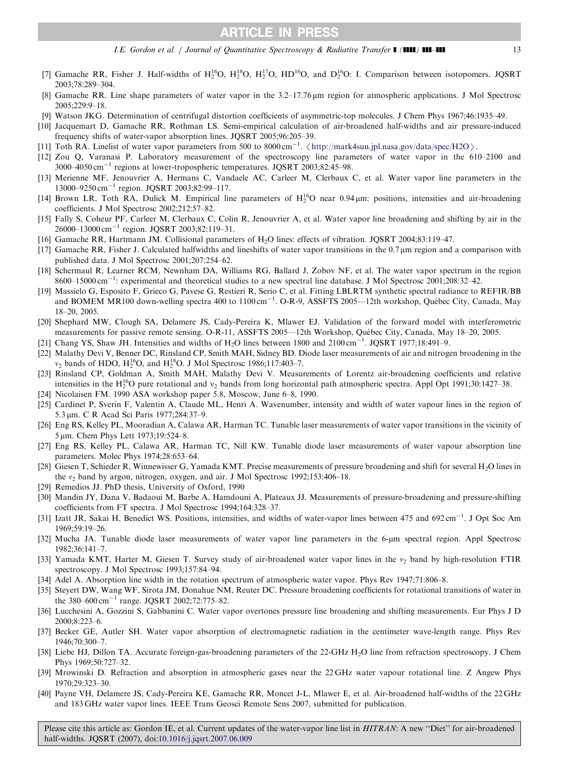I.E. Gordon et al. / Journal of Quantitative Spectroscopy & Radiative Transfer  $\blacksquare$  ( $\blacksquare$ )  $\blacksquare$  13

- <span id="page-12-0"></span>[7] Gamache RR, Fisher J. Half-widths of  $H_2^{16}O$ ,  $H_2^{18}O$ ,  $H_2^{17}O$ ,  $HD^{16}O$ , and  $D_2^{16}O$ : I. Comparison between isotopomers. JQSRT 2003;78:289–304.
- [8] Gamache RR. Line shape parameters of water vapor in the 3.2–17.76 mm region for atmospheric applications. J Mol Spectrosc  $2005:229:9-18$
- [9] Watson JKG. Determination of centrifugal distortion coefficients of asymmetric-top molecules. J Chem Phys 1967;46:1935–49.
- [10] Jacquemart D, Gamache RR, Rothman LS. Semi-empirical calculation of air-broadened half-widths and air pressure-induced frequency shifts of water-vapor absorption lines. JQSRT 2005;96:205–39.
- [11] Toth RA. Linelist of water vapor parameters from 500 to 8000 cm<sup>-1</sup>.  $\langle \text{http://mark4sun.jpl,nasa.gov/data/spec/H2O} \rangle$ .<br>[12] Zou, O. Varanasi, P. Laboratory, measurement, of the spectroscopy line parameters of water vapor in the 61
- [12] Zou Q, Varanasi P. Laboratory measurement of the spectroscopy line parameters of water vapor in the 610–2100 and 3000–4050 cm-<sup>1</sup> regions at lower-tropospheric temperatures. JQSRT 2003;82:45–98.
- [13] Merienne MF, Jenouvrier A, Hermans C, Vandaele AC, Carleer M, Clerbaux C, et al. Water vapor line parameters in the 13000-9250 cm<sup>-1</sup> region. JQSRT 2003;82:99-117.
- [14] Brown LR, Toth RA, Dulick M. Empirical line parameters of  $H_2^{16}O$  near 0.94  $\mu$ m: positions, intensities and air-broadening coefficients. J Mol Spectrosc 2002;212:57–82.
- [15] Fally S, Coheur PF, Carleer M, Clerbaux C, Colin R, Jenouvrier A, et al. Water vapor line broadening and shifting by air in the 26000–13000 cm-<sup>1</sup> region. JQSRT 2003;82:119–31.
- [16] Gamache RR, Hartmann JM. Collisional parameters of H<sub>2</sub>O lines: effects of vibration. JQSRT 2004;83:119-47.
- [17] Gamache RR, Fisher J. Calculated halfwidths and lineshifts of water vapor transitions in the 0.7 µm region and a comparison with published data. J Mol Spectrosc 2001;207:254–62.
- [18] Schermaul R, Learner RCM, Newnham DA, Williams RG, Ballard J, Zobov NF, et al. The water vapor spectrum in the region 8600–15000 cm-1 : experimental and theoretical studies to a new spectral line database. J Mol Spectrosc 2001;208:32–42.
- [19] Massielo G, Esposito F, Grieco G, Pavese G, Restieri R, Serio C, et al. Fitting LBLRTM synthetic spectral radiance to REFIR/BB and BOMEM MR100 down-welling spectra 400 to  $1100 \text{ cm}^{-1}$ . O-R-9, ASSFTS 2005—12th workshop, Québec City, Canada, May 18–20, 2005.
- [20] Shephard MW, Clough SA, Delamere JS, Cady-Pereira K, Mlawer EJ. Validation of the forward model with interferometric measurements for passive remote sensing. O-R-11, ASSFTS 2005—12th Workshop, Québec City, Canada, May 18-20, 2005.
- [21] Chang YS, Shaw JH. Intensities and widths of  $H_2O$  lines between 1800 and 2100 cm<sup>-1</sup>. JQSRT 1977;18:491-9.
- [22] Malathy Devi V, Benner DC, Rinsland CP, Smith MAH, Sidney BD. Diode laser measurements of air and nitrogen broadening in the  $v_2$  bands of HDO,  $H_2^{16}O$ , and  $H_2^{18}O$ . J Mol Spectrosc 1986;117:403-7.
- [23] Rinsland CP, Goldman A, Smith MAH, Malathy Devi V. Measurements of Lorentz air-broadening coefficients and relative intensities in the H<sup>16</sup>O pure rotational and  $v_2$  bands from long horizontal path atmospheric spectra. Appl Opt 1991;30:1427–38.
- [24] Nicolaisen FM. 1990 ASA workshop paper 5.8, Moscow, June 6–8, 1990.
- [25] Cardinet P, Sverin F, Valentin A, Claude ML, Henri A. Wavenumber, intensity and width of water vapour lines in the region of 5.3 μm. C R Acad Sci Paris 1977;284:37-9.
- [26] Eng RS, Kelley PL, Mooradian A, Calawa AR, Harman TC. Tunable laser measurements of water vapor transitions in the vicinity of 5 µm. Chem Phys Lett 1973;19:524–8.
- [27] Eng RS, Kelley PL, Calawa AR, Harman TC, Nill KW. Tunable diode laser measurements of water vapour absorption line parameters. Molec Phys 1974;28:653–64.
- [28] Giesen T, Schieder R, Winnewisser G, Yamada KMT. Precise measurements of pressure broadening and shift for several H<sub>2</sub>O lines in the  $v_2$  band by argon, nitrogen, oxygen, and air. J Mol Spectrosc 1992;153:406–18.
- [29] Remedios JJ. PhD thesis, University of Oxford, 1990
- [30] Mandin JY, Dana V, Badaoui M, Barbe A, Hamdouni A, Plateaux JJ. Measurements of pressure-broadening and pressure-shifting coefficients from FT spectra. J Mol Spectrosc 1994;164:328–37.
- [31] Izatt JR, Sakai H, Benedict WS. Positions, intensities, and widths of water-vapor lines between 475 and 692 cm<sup>-1</sup>. J Opt Soc Am  $1969.59.19 - 26$
- [32] Mucha JA. Tunable diode laser measurements of water vapor line parameters in the 6-µm spectral region. Appl Spectrosc 1982;36:141–7.
- [33] Yamada KMT, Harter M, Giesen T. Survey study of air-broadened water vapor lines in the  $v_2$  band by high-resolution FTIR spectroscopy. J Mol Spectrosc 1993;157:84–94.
- [34] Adel A. Absorption line width in the rotation spectrum of atmospheric water vapor. Phys Rev 1947;71:806–8.
- [35] Stevert DW, Wang WF, Sirota JM, Donahue NM, Reuter DC. Pressure broadening coefficients for rotational transitions of water in the  $380-600 \text{ cm}^{-1}$  range. JQSRT 2002;72:775-82.
- [36] Lucchesini A, Gozzini S, Gabbanini C. Water vapor overtones pressure line broadening and shifting measurements. Eur Phys J D 2000;8:223–6.
- [37] Becker GE, Autler SH. Water vapor absorption of electromagnetic radiation in the centimeter wave-length range. Phys Rev 1946;70:300–7.
- [38] Liebe HJ, Dillon TA. Accurate foreign-gas-broadening parameters of the 22-GHz H<sub>2</sub>O line from refraction spectroscopy. J Chem Phys 1969;50:727–32.
- [39] Mrowinski D. Refraction and absorption in atmospheric gases near the 22 GHz water vapour rotational line. Z Angew Phys 1970;29:323–30.
- [40] Payne VH, Delamere JS, Cady-Pereira KE, Gamache RR, Moncet J-L, Mlawer E, et al. Air-broadened half-widths of the 22 GHz and 183 GHz water vapor lines. IEEE Trans Geosci Remote Sens 2007, submitted for publication.